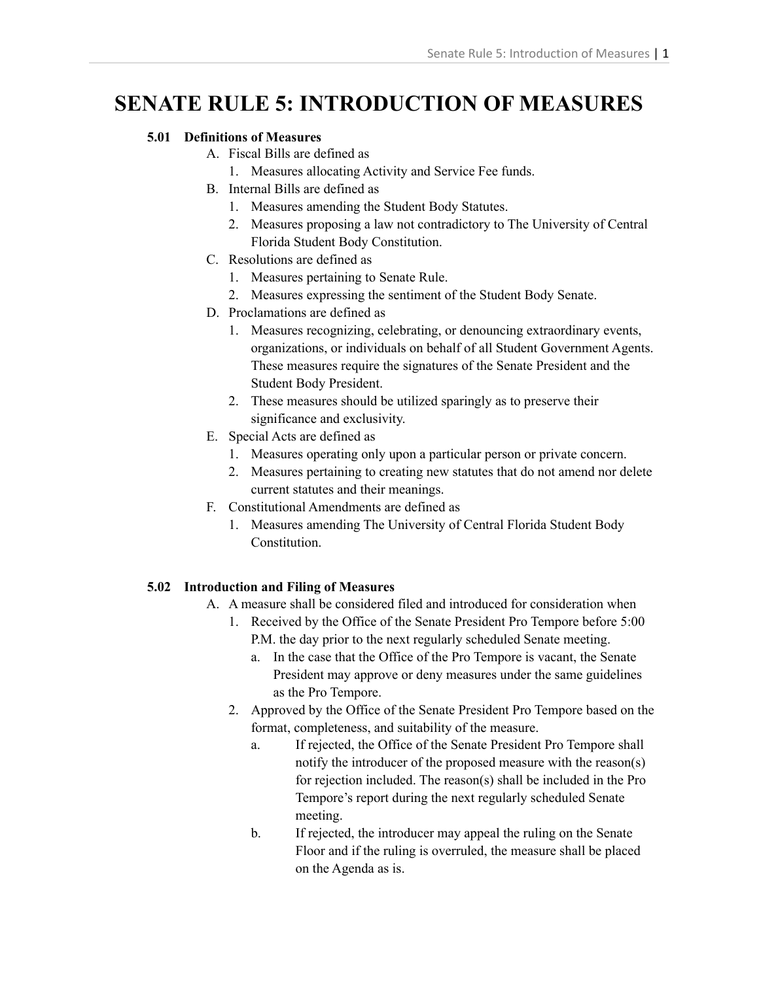# **SENATE RULE 5: INTRODUCTION OF MEASURES**

## **5.01 Definitions of Measures**

- A. Fiscal Bills are defined as
	- 1. Measures allocating Activity and Service Fee funds.
- B. Internal Bills are defined as
	- 1. Measures amending the Student Body Statutes.
	- 2. Measures proposing a law not contradictory to The University of Central Florida Student Body Constitution.
- C. Resolutions are defined as
	- 1. Measures pertaining to Senate Rule.
	- 2. Measures expressing the sentiment of the Student Body Senate.
- D. Proclamations are defined as
	- 1. Measures recognizing, celebrating, or denouncing extraordinary events, organizations, or individuals on behalf of all Student Government Agents. These measures require the signatures of the Senate President and the Student Body President.
	- 2. These measures should be utilized sparingly as to preserve their significance and exclusivity.
- E. Special Acts are defined as
	- 1. Measures operating only upon a particular person or private concern.
	- 2. Measures pertaining to creating new statutes that do not amend nor delete current statutes and their meanings.
- F. Constitutional Amendments are defined as
	- 1. Measures amending The University of Central Florida Student Body **Constitution**

## **5.02 Introduction and Filing of Measures**

- A. A measure shall be considered filed and introduced for consideration when
	- 1. Received by the Office of the Senate President Pro Tempore before 5:00 P.M. the day prior to the next regularly scheduled Senate meeting.
		- a. In the case that the Office of the Pro Tempore is vacant, the Senate President may approve or deny measures under the same guidelines as the Pro Tempore.
	- 2. Approved by the Office of the Senate President Pro Tempore based on the format, completeness, and suitability of the measure.
		- a. If rejected, the Office of the Senate President Pro Tempore shall notify the introducer of the proposed measure with the reason(s) for rejection included. The reason(s) shall be included in the Pro Tempore's report during the next regularly scheduled Senate meeting.
		- b. If rejected, the introducer may appeal the ruling on the Senate Floor and if the ruling is overruled, the measure shall be placed on the Agenda as is.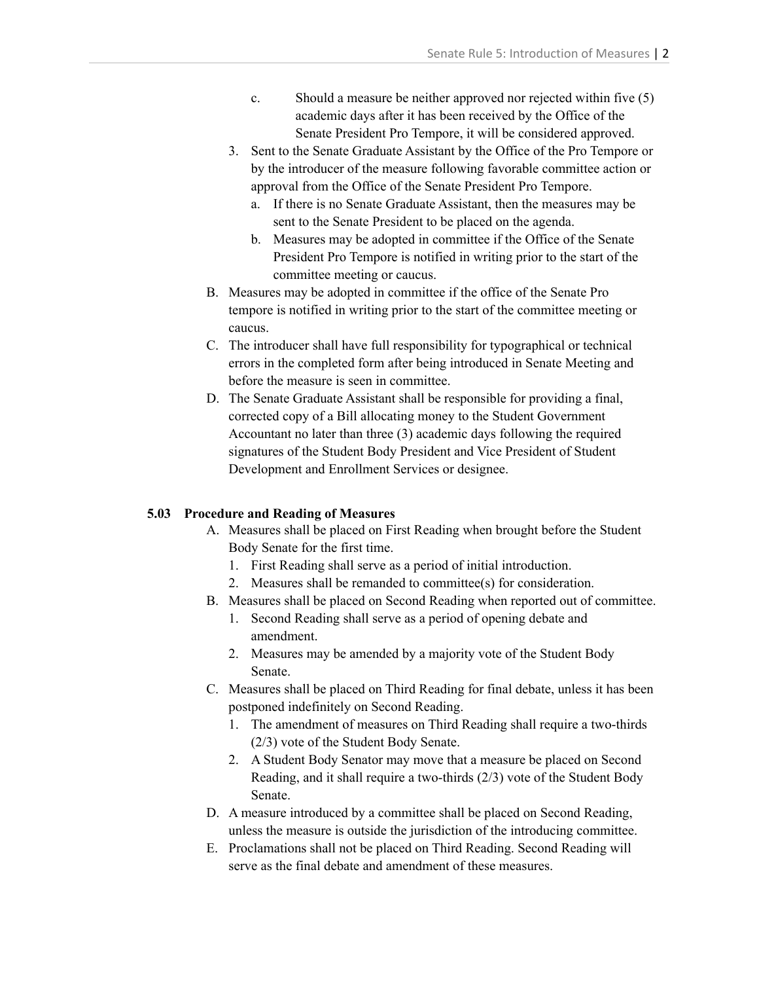- c. Should a measure be neither approved nor rejected within five (5) academic days after it has been received by the Office of the Senate President Pro Tempore, it will be considered approved.
- 3. Sent to the Senate Graduate Assistant by the Office of the Pro Tempore or by the introducer of the measure following favorable committee action or approval from the Office of the Senate President Pro Tempore.
	- a. If there is no Senate Graduate Assistant, then the measures may be sent to the Senate President to be placed on the agenda.
	- b. Measures may be adopted in committee if the Office of the Senate President Pro Tempore is notified in writing prior to the start of the committee meeting or caucus.
- B. Measures may be adopted in committee if the office of the Senate Pro tempore is notified in writing prior to the start of the committee meeting or caucus.
- C. The introducer shall have full responsibility for typographical or technical errors in the completed form after being introduced in Senate Meeting and before the measure is seen in committee.
- D. The Senate Graduate Assistant shall be responsible for providing a final, corrected copy of a Bill allocating money to the Student Government Accountant no later than three (3) academic days following the required signatures of the Student Body President and Vice President of Student Development and Enrollment Services or designee.

#### **5.03 Procedure and Reading of Measures**

- A. Measures shall be placed on First Reading when brought before the Student Body Senate for the first time.
	- 1. First Reading shall serve as a period of initial introduction.
	- 2. Measures shall be remanded to committee(s) for consideration.
- B. Measures shall be placed on Second Reading when reported out of committee.
	- 1. Second Reading shall serve as a period of opening debate and amendment.
	- 2. Measures may be amended by a majority vote of the Student Body Senate.
- C. Measures shall be placed on Third Reading for final debate, unless it has been postponed indefinitely on Second Reading.
	- 1. The amendment of measures on Third Reading shall require a two-thirds (2/3) vote of the Student Body Senate.
	- 2. A Student Body Senator may move that a measure be placed on Second Reading, and it shall require a two-thirds (2/3) vote of the Student Body Senate.
- D. A measure introduced by a committee shall be placed on Second Reading, unless the measure is outside the jurisdiction of the introducing committee.
- E. Proclamations shall not be placed on Third Reading. Second Reading will serve as the final debate and amendment of these measures.